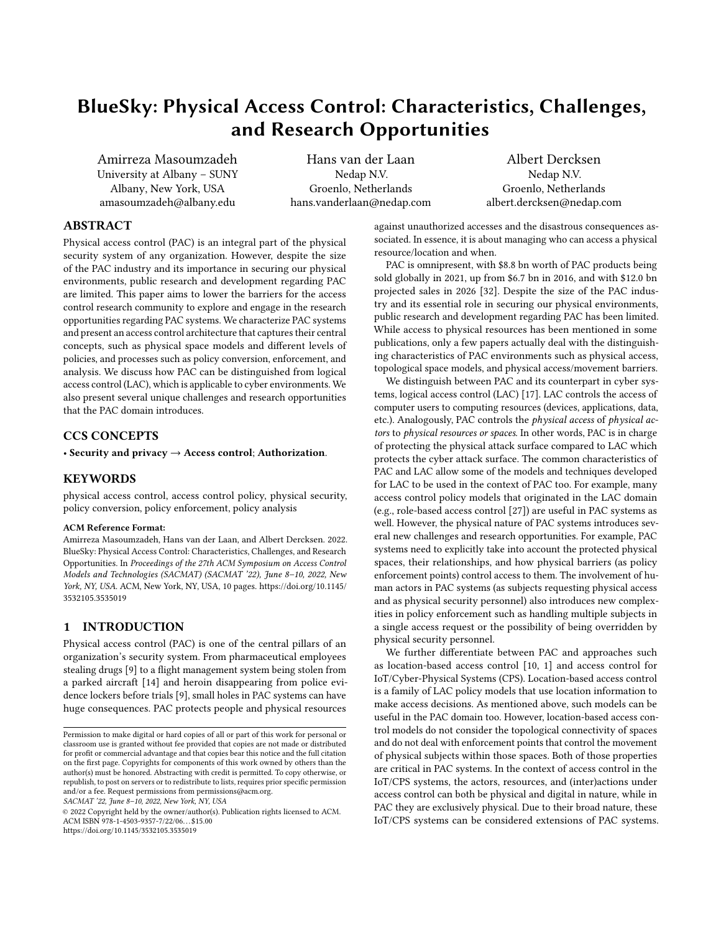# BlueSky: Physical Access Control: Characteristics, Challenges, and Research Opportunities

Amirreza Masoumzadeh University at Albany – SUNY Albany, New York, USA amasoumzadeh@albany.edu

Hans van der Laan Nedap N.V. Groenlo, Netherlands hans.vanderlaan@nedap.com

Albert Dercksen Nedap N.V. Groenlo, Netherlands albert.dercksen@nedap.com

## ABSTRACT

Physical access control (PAC) is an integral part of the physical security system of any organization. However, despite the size of the PAC industry and its importance in securing our physical environments, public research and development regarding PAC are limited. This paper aims to lower the barriers for the access control research community to explore and engage in the research opportunities regarding PAC systems. We characterize PAC systems and present an access control architecture that captures their central concepts, such as physical space models and different levels of policies, and processes such as policy conversion, enforcement, and analysis. We discuss how PAC can be distinguished from logical access control (LAC), which is applicable to cyber environments. We also present several unique challenges and research opportunities that the PAC domain introduces.

## CCS CONCEPTS

• Security and privacy → Access control; Authorization.

## **KEYWORDS**

physical access control, access control policy, physical security, policy conversion, policy enforcement, policy analysis

#### ACM Reference Format:

Amirreza Masoumzadeh, Hans van der Laan, and Albert Dercksen. 2022. BlueSky: Physical Access Control: Characteristics, Challenges, and Research Opportunities. In Proceedings of the 27th ACM Symposium on Access Control Models and Technologies (SACMAT) (SACMAT '22), June 8–10, 2022, New York, NY, USA. ACM, New York, NY, USA, [10](#page-9-0) pages. [https://doi.org/10.1145/](https://doi.org/10.1145/3532105.3535019) [3532105.3535019](https://doi.org/10.1145/3532105.3535019)

#### 1 INTRODUCTION

Physical access control (PAC) is one of the central pillars of an organization's security system. From pharmaceutical employees stealing drugs [\[9\]](#page-9-1) to a flight management system being stolen from a parked aircraft [\[14\]](#page-9-2) and heroin disappearing from police evidence lockers before trials [\[9\]](#page-9-1), small holes in PAC systems can have huge consequences. PAC protects people and physical resources

SACMAT '22, June 8–10, 2022, New York, NY, USA

© 2022 Copyright held by the owner/author(s). Publication rights licensed to ACM. ACM ISBN 978-1-4503-9357-7/22/06. . . \$15.00 <https://doi.org/10.1145/3532105.3535019>

against unauthorized accesses and the disastrous consequences associated. In essence, it is about managing who can access a physical resource/location and when.

PAC is omnipresent, with \$8.8 bn worth of PAC products being sold globally in 2021, up from \$6.7 bn in 2016, and with \$12.0 bn projected sales in 2026 [\[32\]](#page-9-3). Despite the size of the PAC industry and its essential role in securing our physical environments, public research and development regarding PAC has been limited. While access to physical resources has been mentioned in some publications, only a few papers actually deal with the distinguishing characteristics of PAC environments such as physical access, topological space models, and physical access/movement barriers.

We distinguish between PAC and its counterpart in cyber systems, logical access control (LAC) [\[17\]](#page-9-4). LAC controls the access of computer users to computing resources (devices, applications, data, etc.). Analogously, PAC controls the physical access of physical actors to physical resources or spaces. In other words, PAC is in charge of protecting the physical attack surface compared to LAC which protects the cyber attack surface. The common characteristics of PAC and LAC allow some of the models and techniques developed for LAC to be used in the context of PAC too. For example, many access control policy models that originated in the LAC domain (e.g., role-based access control [\[27\]](#page-9-5)) are useful in PAC systems as well. However, the physical nature of PAC systems introduces several new challenges and research opportunities. For example, PAC systems need to explicitly take into account the protected physical spaces, their relationships, and how physical barriers (as policy enforcement points) control access to them. The involvement of human actors in PAC systems (as subjects requesting physical access and as physical security personnel) also introduces new complexities in policy enforcement such as handling multiple subjects in a single access request or the possibility of being overridden by physical security personnel.

We further differentiate between PAC and approaches such as location-based access control [\[10,](#page-9-6) [1\]](#page-9-7) and access control for IoT/Cyber-Physical Systems (CPS). Location-based access control is a family of LAC policy models that use location information to make access decisions. As mentioned above, such models can be useful in the PAC domain too. However, location-based access control models do not consider the topological connectivity of spaces and do not deal with enforcement points that control the movement of physical subjects within those spaces. Both of those properties are critical in PAC systems. In the context of access control in the IoT/CPS systems, the actors, resources, and (inter)actions under access control can both be physical and digital in nature, while in PAC they are exclusively physical. Due to their broad nature, these IoT/CPS systems can be considered extensions of PAC systems.

Permission to make digital or hard copies of all or part of this work for personal or classroom use is granted without fee provided that copies are not made or distributed for profit or commercial advantage and that copies bear this notice and the full citation on the first page. Copyrights for components of this work owned by others than the author(s) must be honored. Abstracting with credit is permitted. To copy otherwise, or republish, to post on servers or to redistribute to lists, requires prior specific permission and/or a fee. Request permissions from permissions@acm.org.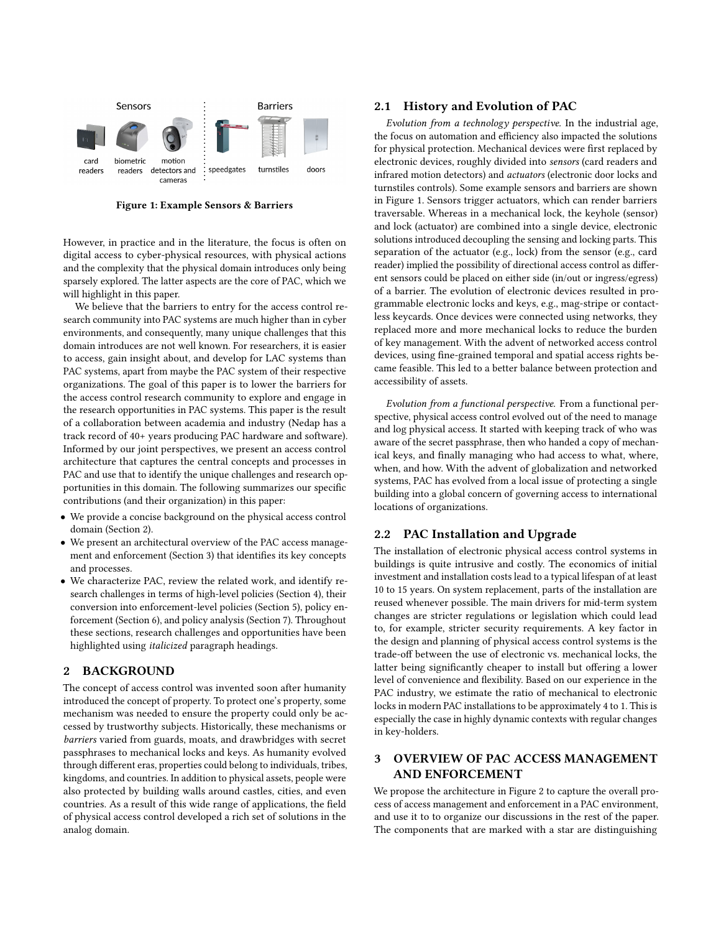<span id="page-1-2"></span>

Figure 1: Example Sensors & Barriers

However, in practice and in the literature, the focus is often on digital access to cyber-physical resources, with physical actions and the complexity that the physical domain introduces only being sparsely explored. The latter aspects are the core of PAC, which we will highlight in this paper.

We believe that the barriers to entry for the access control research community into PAC systems are much higher than in cyber environments, and consequently, many unique challenges that this domain introduces are not well known. For researchers, it is easier to access, gain insight about, and develop for LAC systems than PAC systems, apart from maybe the PAC system of their respective organizations. The goal of this paper is to lower the barriers for the access control research community to explore and engage in the research opportunities in PAC systems. This paper is the result of a collaboration between academia and industry (Nedap has a track record of 40+ years producing PAC hardware and software). Informed by our joint perspectives, we present an access control architecture that captures the central concepts and processes in PAC and use that to identify the unique challenges and research opportunities in this domain. The following summarizes our specific contributions (and their organization) in this paper:

- We provide a concise background on the physical access control domain (Section [2\)](#page-1-0).
- We present an architectural overview of the PAC access management and enforcement (Section [3\)](#page-1-1) that identifies its key concepts and processes.
- We characterize PAC, review the related work, and identify research challenges in terms of high-level policies (Section [4\)](#page-2-0), their conversion into enforcement-level policies (Section [5\)](#page-4-0), policy enforcement (Section [6\)](#page-4-1), and policy analysis (Section [7\)](#page-6-0). Throughout these sections, research challenges and opportunities have been highlighted using italicized paragraph headings.

#### <span id="page-1-0"></span>2 BACKGROUND

The concept of access control was invented soon after humanity introduced the concept of property. To protect one's property, some mechanism was needed to ensure the property could only be accessed by trustworthy subjects. Historically, these mechanisms or barriers varied from guards, moats, and drawbridges with secret passphrases to mechanical locks and keys. As humanity evolved through different eras, properties could belong to individuals, tribes, kingdoms, and countries. In addition to physical assets, people were also protected by building walls around castles, cities, and even countries. As a result of this wide range of applications, the field of physical access control developed a rich set of solutions in the analog domain.

#### 2.1 History and Evolution of PAC

Evolution from a technology perspective. In the industrial age, the focus on automation and efficiency also impacted the solutions for physical protection. Mechanical devices were first replaced by electronic devices, roughly divided into sensors (card readers and infrared motion detectors) and actuators (electronic door locks and turnstiles controls). Some example sensors and barriers are shown in Figure [1.](#page-1-2) Sensors trigger actuators, which can render barriers traversable. Whereas in a mechanical lock, the keyhole (sensor) and lock (actuator) are combined into a single device, electronic solutions introduced decoupling the sensing and locking parts. This separation of the actuator (e.g., lock) from the sensor (e.g., card reader) implied the possibility of directional access control as different sensors could be placed on either side (in/out or ingress/egress) of a barrier. The evolution of electronic devices resulted in programmable electronic locks and keys, e.g., mag-stripe or contactless keycards. Once devices were connected using networks, they replaced more and more mechanical locks to reduce the burden of key management. With the advent of networked access control devices, using fine-grained temporal and spatial access rights became feasible. This led to a better balance between protection and accessibility of assets.

Evolution from a functional perspective. From a functional perspective, physical access control evolved out of the need to manage and log physical access. It started with keeping track of who was aware of the secret passphrase, then who handed a copy of mechanical keys, and finally managing who had access to what, where, when, and how. With the advent of globalization and networked systems, PAC has evolved from a local issue of protecting a single building into a global concern of governing access to international locations of organizations.

## 2.2 PAC Installation and Upgrade

The installation of electronic physical access control systems in buildings is quite intrusive and costly. The economics of initial investment and installation costs lead to a typical lifespan of at least 10 to 15 years. On system replacement, parts of the installation are reused whenever possible. The main drivers for mid-term system changes are stricter regulations or legislation which could lead to, for example, stricter security requirements. A key factor in the design and planning of physical access control systems is the trade-off between the use of electronic vs. mechanical locks, the latter being significantly cheaper to install but offering a lower level of convenience and flexibility. Based on our experience in the PAC industry, we estimate the ratio of mechanical to electronic locks in modern PAC installations to be approximately 4 to 1. This is especially the case in highly dynamic contexts with regular changes in key-holders.

# <span id="page-1-1"></span>3 OVERVIEW OF PAC ACCESS MANAGEMENT AND ENFORCEMENT

We propose the architecture in Figure [2](#page-2-1) to capture the overall process of access management and enforcement in a PAC environment, and use it to to organize our discussions in the rest of the paper. The components that are marked with a star are distinguishing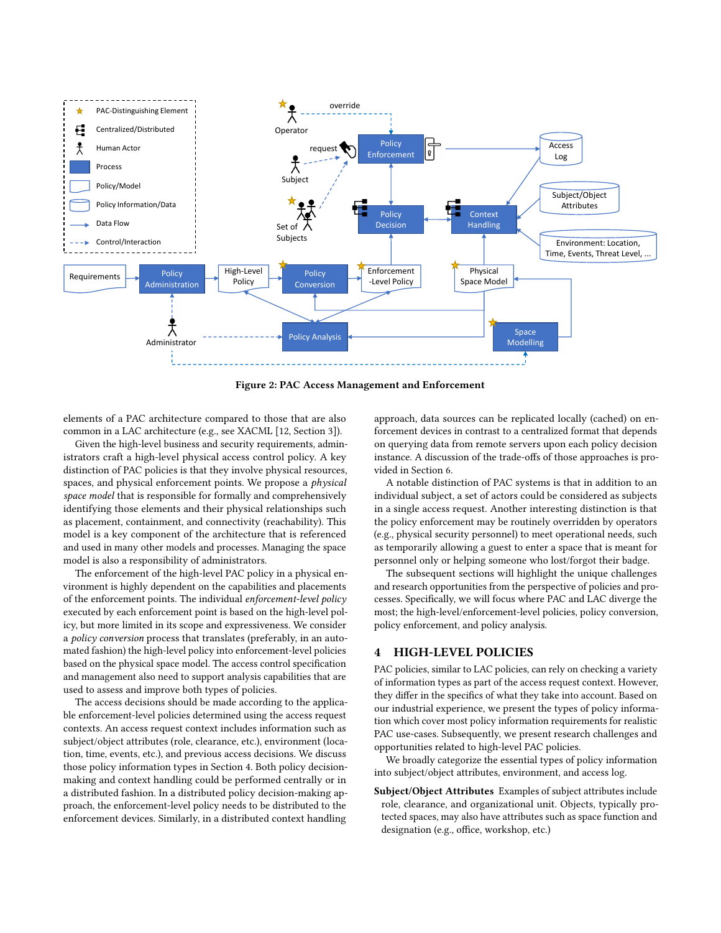<span id="page-2-1"></span>

Figure 2: PAC Access Management and Enforcement

elements of a PAC architecture compared to those that are also common in a LAC architecture (e.g., see XACML [\[12,](#page-9-8) Section 3]).

Given the high-level business and security requirements, administrators craft a high-level physical access control policy. A key distinction of PAC policies is that they involve physical resources, spaces, and physical enforcement points. We propose a physical space model that is responsible for formally and comprehensively identifying those elements and their physical relationships such as placement, containment, and connectivity (reachability). This model is a key component of the architecture that is referenced and used in many other models and processes. Managing the space model is also a responsibility of administrators.

The enforcement of the high-level PAC policy in a physical environment is highly dependent on the capabilities and placements of the enforcement points. The individual enforcement-level policy executed by each enforcement point is based on the high-level policy, but more limited in its scope and expressiveness. We consider a policy conversion process that translates (preferably, in an automated fashion) the high-level policy into enforcement-level policies based on the physical space model. The access control specification and management also need to support analysis capabilities that are used to assess and improve both types of policies.

The access decisions should be made according to the applicable enforcement-level policies determined using the access request contexts. An access request context includes information such as subject/object attributes (role, clearance, etc.), environment (location, time, events, etc.), and previous access decisions. We discuss those policy information types in Section [4.](#page-2-0) Both policy decisionmaking and context handling could be performed centrally or in a distributed fashion. In a distributed policy decision-making approach, the enforcement-level policy needs to be distributed to the enforcement devices. Similarly, in a distributed context handling

approach, data sources can be replicated locally (cached) on enforcement devices in contrast to a centralized format that depends on querying data from remote servers upon each policy decision instance. A discussion of the trade-offs of those approaches is provided in Section [6.](#page-4-1)

A notable distinction of PAC systems is that in addition to an individual subject, a set of actors could be considered as subjects in a single access request. Another interesting distinction is that the policy enforcement may be routinely overridden by operators (e.g., physical security personnel) to meet operational needs, such as temporarily allowing a guest to enter a space that is meant for personnel only or helping someone who lost/forgot their badge.

The subsequent sections will highlight the unique challenges and research opportunities from the perspective of policies and processes. Specifically, we will focus where PAC and LAC diverge the most; the high-level/enforcement-level policies, policy conversion, policy enforcement, and policy analysis.

#### <span id="page-2-0"></span>4 HIGH-LEVEL POLICIES

PAC policies, similar to LAC policies, can rely on checking a variety of information types as part of the access request context. However, they differ in the specifics of what they take into account. Based on our industrial experience, we present the types of policy information which cover most policy information requirements for realistic PAC use-cases. Subsequently, we present research challenges and opportunities related to high-level PAC policies.

We broadly categorize the essential types of policy information into subject/object attributes, environment, and access log.

Subject/Object Attributes Examples of subject attributes include role, clearance, and organizational unit. Objects, typically protected spaces, may also have attributes such as space function and designation (e.g., office, workshop, etc.)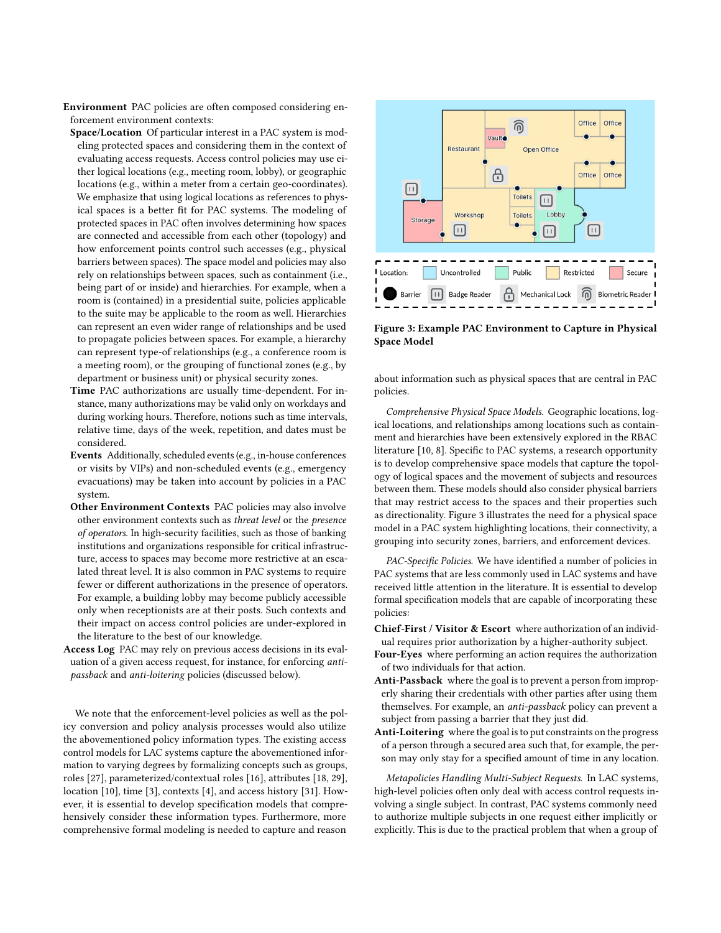- Environment PAC policies are often composed considering enforcement environment contexts:
- Space/Location Of particular interest in a PAC system is modeling protected spaces and considering them in the context of evaluating access requests. Access control policies may use either logical locations (e.g., meeting room, lobby), or geographic locations (e.g., within a meter from a certain geo-coordinates). We emphasize that using logical locations as references to physical spaces is a better fit for PAC systems. The modeling of protected spaces in PAC often involves determining how spaces are connected and accessible from each other (topology) and how enforcement points control such accesses (e.g., physical barriers between spaces). The space model and policies may also rely on relationships between spaces, such as containment (i.e., being part of or inside) and hierarchies. For example, when a room is (contained) in a presidential suite, policies applicable to the suite may be applicable to the room as well. Hierarchies can represent an even wider range of relationships and be used to propagate policies between spaces. For example, a hierarchy can represent type-of relationships (e.g., a conference room is a meeting room), or the grouping of functional zones (e.g., by department or business unit) or physical security zones.
- Time PAC authorizations are usually time-dependent. For instance, many authorizations may be valid only on workdays and during working hours. Therefore, notions such as time intervals, relative time, days of the week, repetition, and dates must be considered.
- Events Additionally, scheduled events (e.g., in-house conferences or visits by VIPs) and non-scheduled events (e.g., emergency evacuations) may be taken into account by policies in a PAC system.
- Other Environment Contexts PAC policies may also involve other environment contexts such as threat level or the presence of operators. In high-security facilities, such as those of banking institutions and organizations responsible for critical infrastructure, access to spaces may become more restrictive at an escalated threat level. It is also common in PAC systems to require fewer or different authorizations in the presence of operators. For example, a building lobby may become publicly accessible only when receptionists are at their posts. Such contexts and their impact on access control policies are under-explored in the literature to the best of our knowledge.
- Access Log PAC may rely on previous access decisions in its evaluation of a given access request, for instance, for enforcing antipassback and anti-loitering policies (discussed below).

We note that the enforcement-level policies as well as the policy conversion and policy analysis processes would also utilize the abovementioned policy information types. The existing access control models for LAC systems capture the abovementioned information to varying degrees by formalizing concepts such as groups, roles [\[27\]](#page-9-5), parameterized/contextual roles [\[16\]](#page-9-9), attributes [\[18,](#page-9-10) [29\]](#page-9-11), location [\[10\]](#page-9-6), time [\[3\]](#page-9-12), contexts [\[4\]](#page-9-13), and access history [\[31\]](#page-9-14). However, it is essential to develop specification models that comprehensively consider these information types. Furthermore, more comprehensive formal modeling is needed to capture and reason

<span id="page-3-0"></span>

Figure 3: Example PAC Environment to Capture in Physical Space Model

about information such as physical spaces that are central in PAC policies.

Comprehensive Physical Space Models. Geographic locations, logical locations, and relationships among locations such as containment and hierarchies have been extensively explored in the RBAC literature [\[10,](#page-9-6) [8\]](#page-9-15). Specific to PAC systems, a research opportunity is to develop comprehensive space models that capture the topology of logical spaces and the movement of subjects and resources between them. These models should also consider physical barriers that may restrict access to the spaces and their properties such as directionality. Figure [3](#page-3-0) illustrates the need for a physical space model in a PAC system highlighting locations, their connectivity, a grouping into security zones, barriers, and enforcement devices.

PAC-Specific Policies. We have identified a number of policies in PAC systems that are less commonly used in LAC systems and have received little attention in the literature. It is essential to develop formal specification models that are capable of incorporating these policies:

- Chief-First / Visitor & Escort where authorization of an individual requires prior authorization by a higher-authority subject.
- Four-Eyes where performing an action requires the authorization of two individuals for that action.
- Anti-Passback where the goal is to prevent a person from improperly sharing their credentials with other parties after using them themselves. For example, an anti-passback policy can prevent a subject from passing a barrier that they just did.
- Anti-Loitering where the goal is to put constraints on the progress of a person through a secured area such that, for example, the person may only stay for a specified amount of time in any location.

Metapolicies Handling Multi-Subject Requests. In LAC systems, high-level policies often only deal with access control requests involving a single subject. In contrast, PAC systems commonly need to authorize multiple subjects in one request either implicitly or explicitly. This is due to the practical problem that when a group of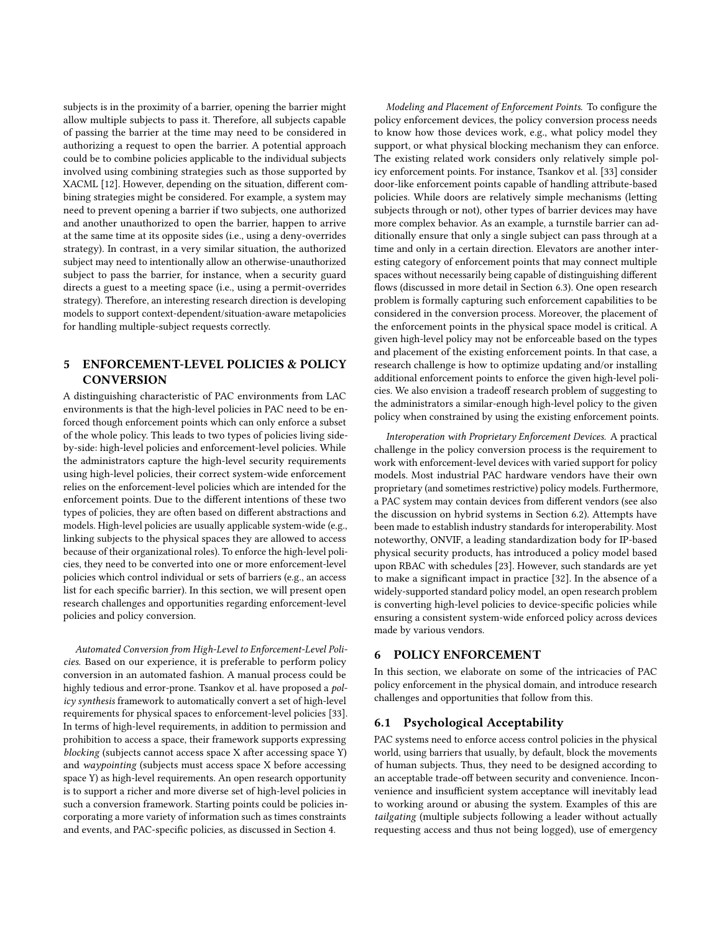subjects is in the proximity of a barrier, opening the barrier might allow multiple subjects to pass it. Therefore, all subjects capable of passing the barrier at the time may need to be considered in authorizing a request to open the barrier. A potential approach could be to combine policies applicable to the individual subjects involved using combining strategies such as those supported by XACML [\[12\]](#page-9-8). However, depending on the situation, different combining strategies might be considered. For example, a system may need to prevent opening a barrier if two subjects, one authorized and another unauthorized to open the barrier, happen to arrive at the same time at its opposite sides (i.e., using a deny-overrides strategy). In contrast, in a very similar situation, the authorized subject may need to intentionally allow an otherwise-unauthorized subject to pass the barrier, for instance, when a security guard directs a guest to a meeting space (i.e., using a permit-overrides strategy). Therefore, an interesting research direction is developing models to support context-dependent/situation-aware metapolicies for handling multiple-subject requests correctly.

# <span id="page-4-0"></span>5 ENFORCEMENT-LEVEL POLICIES & POLICY **CONVERSION**

A distinguishing characteristic of PAC environments from LAC environments is that the high-level policies in PAC need to be enforced though enforcement points which can only enforce a subset of the whole policy. This leads to two types of policies living sideby-side: high-level policies and enforcement-level policies. While the administrators capture the high-level security requirements using high-level policies, their correct system-wide enforcement relies on the enforcement-level policies which are intended for the enforcement points. Due to the different intentions of these two types of policies, they are often based on different abstractions and models. High-level policies are usually applicable system-wide (e.g., linking subjects to the physical spaces they are allowed to access because of their organizational roles). To enforce the high-level policies, they need to be converted into one or more enforcement-level policies which control individual or sets of barriers (e.g., an access list for each specific barrier). In this section, we will present open research challenges and opportunities regarding enforcement-level policies and policy conversion.

Automated Conversion from High-Level to Enforcement-Level Policies. Based on our experience, it is preferable to perform policy conversion in an automated fashion. A manual process could be highly tedious and error-prone. Tsankov et al. have proposed a policy synthesis framework to automatically convert a set of high-level requirements for physical spaces to enforcement-level policies [\[33\]](#page-9-16). In terms of high-level requirements, in addition to permission and prohibition to access a space, their framework supports expressing blocking (subjects cannot access space X after accessing space Y) and waypointing (subjects must access space X before accessing space Y) as high-level requirements. An open research opportunity is to support a richer and more diverse set of high-level policies in such a conversion framework. Starting points could be policies incorporating a more variety of information such as times constraints and events, and PAC-specific policies, as discussed in Section [4.](#page-2-0)

Modeling and Placement of Enforcement Points. To configure the policy enforcement devices, the policy conversion process needs to know how those devices work, e.g., what policy model they support, or what physical blocking mechanism they can enforce. The existing related work considers only relatively simple policy enforcement points. For instance, Tsankov et al. [\[33\]](#page-9-16) consider door-like enforcement points capable of handling attribute-based policies. While doors are relatively simple mechanisms (letting subjects through or not), other types of barrier devices may have more complex behavior. As an example, a turnstile barrier can additionally ensure that only a single subject can pass through at a time and only in a certain direction. Elevators are another interesting category of enforcement points that may connect multiple spaces without necessarily being capable of distinguishing different flows (discussed in more detail in Section [6.3\)](#page-5-0). One open research problem is formally capturing such enforcement capabilities to be considered in the conversion process. Moreover, the placement of the enforcement points in the physical space model is critical. A given high-level policy may not be enforceable based on the types and placement of the existing enforcement points. In that case, a research challenge is how to optimize updating and/or installing additional enforcement points to enforce the given high-level policies. We also envision a tradeoff research problem of suggesting to the administrators a similar-enough high-level policy to the given policy when constrained by using the existing enforcement points.

Interoperation with Proprietary Enforcement Devices. A practical challenge in the policy conversion process is the requirement to work with enforcement-level devices with varied support for policy models. Most industrial PAC hardware vendors have their own proprietary (and sometimes restrictive) policy models. Furthermore, a PAC system may contain devices from different vendors (see also the discussion on hybrid systems in Section [6.2\)](#page-5-1). Attempts have been made to establish industry standards for interoperability. Most noteworthy, ONVIF, a leading standardization body for IP-based physical security products, has introduced a policy model based upon RBAC with schedules [\[23\]](#page-9-17). However, such standards are yet to make a significant impact in practice [\[32\]](#page-9-3). In the absence of a widely-supported standard policy model, an open research problem is converting high-level policies to device-specific policies while ensuring a consistent system-wide enforced policy across devices made by various vendors.

## <span id="page-4-1"></span>6 POLICY ENFORCEMENT

In this section, we elaborate on some of the intricacies of PAC policy enforcement in the physical domain, and introduce research challenges and opportunities that follow from this.

#### 6.1 Psychological Acceptability

PAC systems need to enforce access control policies in the physical world, using barriers that usually, by default, block the movements of human subjects. Thus, they need to be designed according to an acceptable trade-off between security and convenience. Inconvenience and insufficient system acceptance will inevitably lead to working around or abusing the system. Examples of this are tailgating (multiple subjects following a leader without actually requesting access and thus not being logged), use of emergency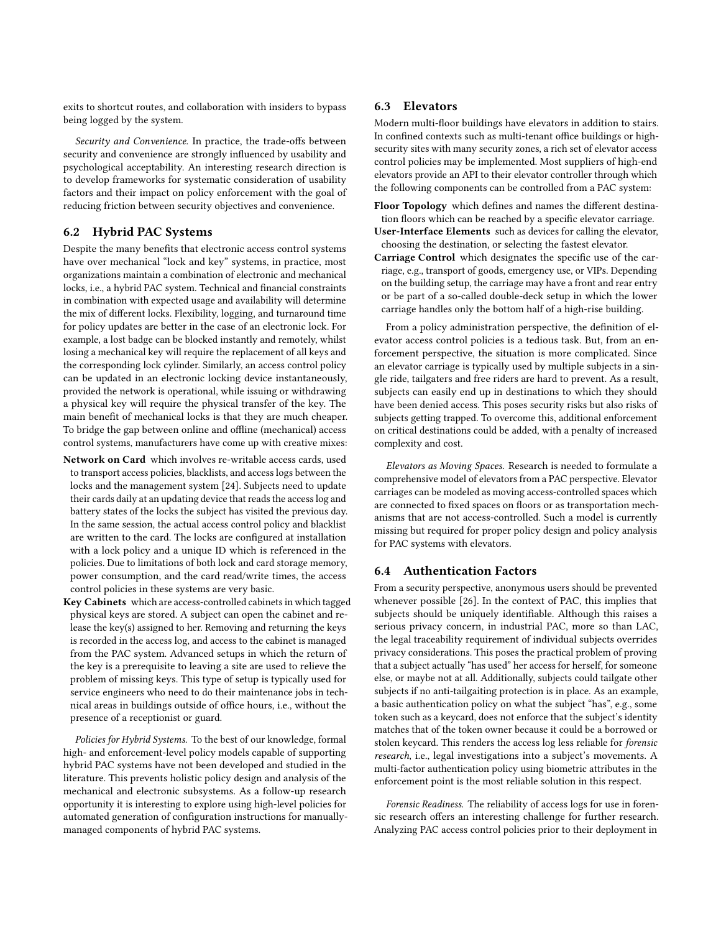exits to shortcut routes, and collaboration with insiders to bypass being logged by the system.

Security and Convenience. In practice, the trade-offs between security and convenience are strongly influenced by usability and psychological acceptability. An interesting research direction is to develop frameworks for systematic consideration of usability factors and their impact on policy enforcement with the goal of reducing friction between security objectives and convenience.

## <span id="page-5-1"></span>6.2 Hybrid PAC Systems

Despite the many benefits that electronic access control systems have over mechanical "lock and key" systems, in practice, most organizations maintain a combination of electronic and mechanical locks, i.e., a hybrid PAC system. Technical and financial constraints in combination with expected usage and availability will determine the mix of different locks. Flexibility, logging, and turnaround time for policy updates are better in the case of an electronic lock. For example, a lost badge can be blocked instantly and remotely, whilst losing a mechanical key will require the replacement of all keys and the corresponding lock cylinder. Similarly, an access control policy can be updated in an electronic locking device instantaneously, provided the network is operational, while issuing or withdrawing a physical key will require the physical transfer of the key. The main benefit of mechanical locks is that they are much cheaper. To bridge the gap between online and offline (mechanical) access control systems, manufacturers have come up with creative mixes:

- Network on Card which involves re-writable access cards, used to transport access policies, blacklists, and access logs between the locks and the management system [\[24\]](#page-9-18). Subjects need to update their cards daily at an updating device that reads the access log and battery states of the locks the subject has visited the previous day. In the same session, the actual access control policy and blacklist are written to the card. The locks are configured at installation with a lock policy and a unique ID which is referenced in the policies. Due to limitations of both lock and card storage memory, power consumption, and the card read/write times, the access control policies in these systems are very basic.
- Key Cabinets which are access-controlled cabinets in which tagged physical keys are stored. A subject can open the cabinet and release the key(s) assigned to her. Removing and returning the keys is recorded in the access log, and access to the cabinet is managed from the PAC system. Advanced setups in which the return of the key is a prerequisite to leaving a site are used to relieve the problem of missing keys. This type of setup is typically used for service engineers who need to do their maintenance jobs in technical areas in buildings outside of office hours, i.e., without the presence of a receptionist or guard.

Policies for Hybrid Systems. To the best of our knowledge, formal high- and enforcement-level policy models capable of supporting hybrid PAC systems have not been developed and studied in the literature. This prevents holistic policy design and analysis of the mechanical and electronic subsystems. As a follow-up research opportunity it is interesting to explore using high-level policies for automated generation of configuration instructions for manuallymanaged components of hybrid PAC systems.

#### <span id="page-5-0"></span>6.3 Elevators

Modern multi-floor buildings have elevators in addition to stairs. In confined contexts such as multi-tenant office buildings or highsecurity sites with many security zones, a rich set of elevator access control policies may be implemented. Most suppliers of high-end elevators provide an API to their elevator controller through which the following components can be controlled from a PAC system:

- Floor Topology which defines and names the different destination floors which can be reached by a specific elevator carriage.
- User-Interface Elements such as devices for calling the elevator, choosing the destination, or selecting the fastest elevator.
- Carriage Control which designates the specific use of the carriage, e.g., transport of goods, emergency use, or VIPs. Depending on the building setup, the carriage may have a front and rear entry or be part of a so-called double-deck setup in which the lower carriage handles only the bottom half of a high-rise building.

From a policy administration perspective, the definition of elevator access control policies is a tedious task. But, from an enforcement perspective, the situation is more complicated. Since an elevator carriage is typically used by multiple subjects in a single ride, tailgaters and free riders are hard to prevent. As a result, subjects can easily end up in destinations to which they should have been denied access. This poses security risks but also risks of subjects getting trapped. To overcome this, additional enforcement on critical destinations could be added, with a penalty of increased complexity and cost.

Elevators as Moving Spaces. Research is needed to formulate a comprehensive model of elevators from a PAC perspective. Elevator carriages can be modeled as moving access-controlled spaces which are connected to fixed spaces on floors or as transportation mechanisms that are not access-controlled. Such a model is currently missing but required for proper policy design and policy analysis for PAC systems with elevators.

#### 6.4 Authentication Factors

From a security perspective, anonymous users should be prevented whenever possible [\[26\]](#page-9-19). In the context of PAC, this implies that subjects should be uniquely identifiable. Although this raises a serious privacy concern, in industrial PAC, more so than LAC, the legal traceability requirement of individual subjects overrides privacy considerations. This poses the practical problem of proving that a subject actually "has used" her access for herself, for someone else, or maybe not at all. Additionally, subjects could tailgate other subjects if no anti-tailgaiting protection is in place. As an example, a basic authentication policy on what the subject "has", e.g., some token such as a keycard, does not enforce that the subject's identity matches that of the token owner because it could be a borrowed or stolen keycard. This renders the access log less reliable for forensic research, i.e., legal investigations into a subject's movements. A multi-factor authentication policy using biometric attributes in the enforcement point is the most reliable solution in this respect.

Forensic Readiness. The reliability of access logs for use in forensic research offers an interesting challenge for further research. Analyzing PAC access control policies prior to their deployment in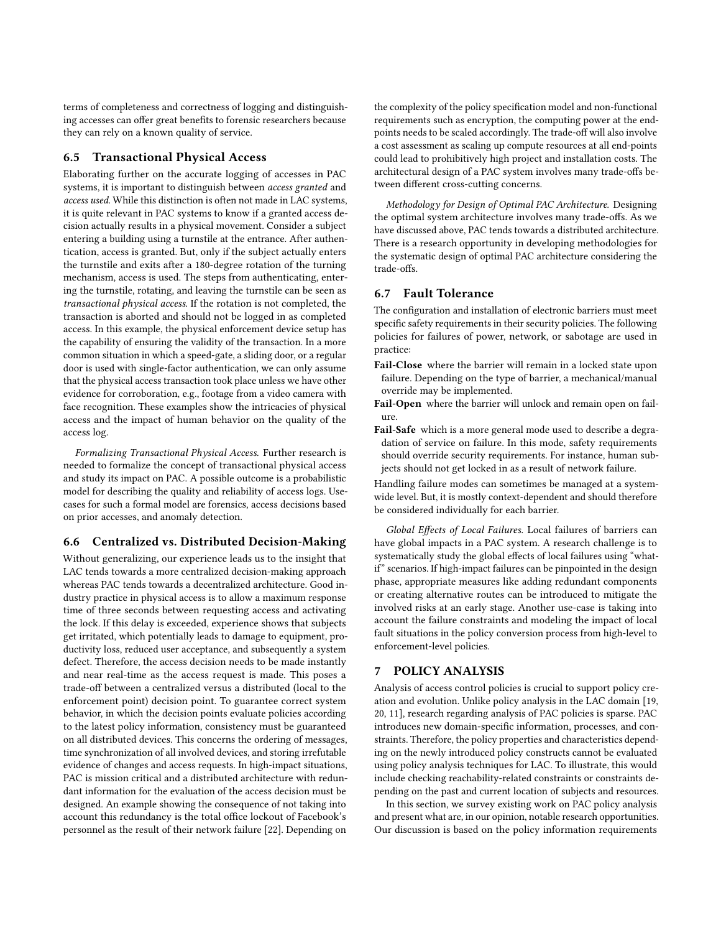terms of completeness and correctness of logging and distinguishing accesses can offer great benefits to forensic researchers because they can rely on a known quality of service.

### 6.5 Transactional Physical Access

Elaborating further on the accurate logging of accesses in PAC systems, it is important to distinguish between access granted and access used. While this distinction is often not made in LAC systems, it is quite relevant in PAC systems to know if a granted access decision actually results in a physical movement. Consider a subject entering a building using a turnstile at the entrance. After authentication, access is granted. But, only if the subject actually enters the turnstile and exits after a 180-degree rotation of the turning mechanism, access is used. The steps from authenticating, entering the turnstile, rotating, and leaving the turnstile can be seen as transactional physical access. If the rotation is not completed, the transaction is aborted and should not be logged in as completed access. In this example, the physical enforcement device setup has the capability of ensuring the validity of the transaction. In a more common situation in which a speed-gate, a sliding door, or a regular door is used with single-factor authentication, we can only assume that the physical access transaction took place unless we have other evidence for corroboration, e.g., footage from a video camera with face recognition. These examples show the intricacies of physical access and the impact of human behavior on the quality of the access log.

Formalizing Transactional Physical Access. Further research is needed to formalize the concept of transactional physical access and study its impact on PAC. A possible outcome is a probabilistic model for describing the quality and reliability of access logs. Usecases for such a formal model are forensics, access decisions based on prior accesses, and anomaly detection.

#### 6.6 Centralized vs. Distributed Decision-Making

Without generalizing, our experience leads us to the insight that LAC tends towards a more centralized decision-making approach whereas PAC tends towards a decentralized architecture. Good industry practice in physical access is to allow a maximum response time of three seconds between requesting access and activating the lock. If this delay is exceeded, experience shows that subjects get irritated, which potentially leads to damage to equipment, productivity loss, reduced user acceptance, and subsequently a system defect. Therefore, the access decision needs to be made instantly and near real-time as the access request is made. This poses a trade-off between a centralized versus a distributed (local to the enforcement point) decision point. To guarantee correct system behavior, in which the decision points evaluate policies according to the latest policy information, consistency must be guaranteed on all distributed devices. This concerns the ordering of messages, time synchronization of all involved devices, and storing irrefutable evidence of changes and access requests. In high-impact situations, PAC is mission critical and a distributed architecture with redundant information for the evaluation of the access decision must be designed. An example showing the consequence of not taking into account this redundancy is the total office lockout of Facebook's personnel as the result of their network failure [\[22\]](#page-9-20). Depending on

the complexity of the policy specification model and non-functional requirements such as encryption, the computing power at the endpoints needs to be scaled accordingly. The trade-off will also involve a cost assessment as scaling up compute resources at all end-points could lead to prohibitively high project and installation costs. The architectural design of a PAC system involves many trade-offs between different cross-cutting concerns.

Methodology for Design of Optimal PAC Architecture. Designing the optimal system architecture involves many trade-offs. As we have discussed above, PAC tends towards a distributed architecture. There is a research opportunity in developing methodologies for the systematic design of optimal PAC architecture considering the trade-offs.

# 6.7 Fault Tolerance

The configuration and installation of electronic barriers must meet specific safety requirements in their security policies. The following policies for failures of power, network, or sabotage are used in practice:

- Fail-Close where the barrier will remain in a locked state upon failure. Depending on the type of barrier, a mechanical/manual override may be implemented.
- Fail-Open where the barrier will unlock and remain open on failure.
- Fail-Safe which is a more general mode used to describe a degradation of service on failure. In this mode, safety requirements should override security requirements. For instance, human subjects should not get locked in as a result of network failure.

Handling failure modes can sometimes be managed at a systemwide level. But, it is mostly context-dependent and should therefore be considered individually for each barrier.

Global Effects of Local Failures. Local failures of barriers can have global impacts in a PAC system. A research challenge is to systematically study the global effects of local failures using "whatif" scenarios. If high-impact failures can be pinpointed in the design phase, appropriate measures like adding redundant components or creating alternative routes can be introduced to mitigate the involved risks at an early stage. Another use-case is taking into account the failure constraints and modeling the impact of local fault situations in the policy conversion process from high-level to enforcement-level policies.

## <span id="page-6-0"></span>7 POLICY ANALYSIS

Analysis of access control policies is crucial to support policy creation and evolution. Unlike policy analysis in the LAC domain [\[19,](#page-9-21) [20,](#page-9-22) [11\]](#page-9-23), research regarding analysis of PAC policies is sparse. PAC introduces new domain-specific information, processes, and constraints. Therefore, the policy properties and characteristics depending on the newly introduced policy constructs cannot be evaluated using policy analysis techniques for LAC. To illustrate, this would include checking reachability-related constraints or constraints depending on the past and current location of subjects and resources.

In this section, we survey existing work on PAC policy analysis and present what are, in our opinion, notable research opportunities. Our discussion is based on the policy information requirements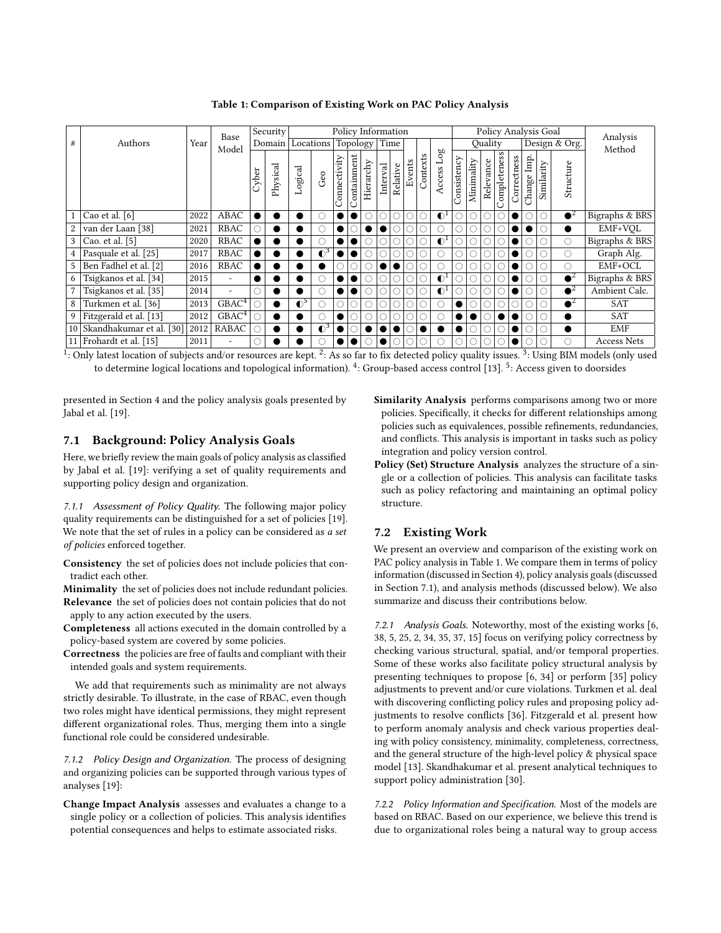<span id="page-7-0"></span>Policy Information Policy Analysis Goal Analysis<br>
Topology Time Quality Design & Org. **Security** Authors  $\begin{vmatrix} \text{Rate} \\ \text{Mean} \end{vmatrix}$  Base Locations Topology Time Quality Design & Org. Analysis Domain Model Events Contexts Access Log **Consistency** Completeness **Connectivity** Containment Correctness<br>Change Imp Imp. Change Imp. Minimality Relevance<br>Completenes Hierarchy Relative Similarity Structure Physical Interval Cyber Logical Geo <sup>1</sup> Cao et al. [\[6\]](#page-9-24) <sup>2022</sup> ABAC # # # # # # G#<sup>1</sup> # # # # # # <sup>2</sup> Bigraphs & BRS 2 van der Laan [\[38\]](#page-9-25) 2021 RBAC  $\circ \bullet \bullet \circ \bullet \circ \bullet \circ \bullet \circ \circ \circ \circ \circ \circ \circ \bullet \bullet \circ \bullet \bullet \circ \bullet$  EMF+VQL <sup>3</sup> Cao. et al. [\[5\]](#page-9-26) <sup>2020</sup> RBAC # # # # # # G#<sup>1</sup> # # # # # # # Bigraphs & BRS <sup>4</sup> Pasquale et al. [\[25\]](#page-9-27) <sup>2017</sup> RBAC G#3 # # # # # # # # # # # # # Graph Alg. 5 Ben Fadhel et al. [\[2\]](#page-9-28) 2016 RBAC  $\bullet \bullet \bullet \bullet \circ \circ \circ \bullet \bullet \circ \circ \circ \circ \circ \circ \circ \circ \circ \bullet \bullet \circ \circ \circ \bullet \bullet \circ \circ \circ$ 6 Tsigkanos et al. [\[34\]](#page-9-29) 2015 -  $\bullet \bullet \bullet \circ \bullet \bullet \circ \circ \circ \circ \circ \circ \bullet \bullet$   $\circ \circ \circ \bullet$   $\bullet$   $\circ \circ \circ \bullet$   $\bullet$   $\circ$  Bigraphs & BRS 7 Tsigkanos et al. [\[35\]](#page-9-30) 2014 - 0  $\bullet$  0 0 0 0 0 0 0 0 0 0 0 0 0 0 0  $\bullet$  2 Ambient Calc. <sup>8</sup> Turkmen et al. [\[36\]](#page-9-31) <sup>2013</sup> GBAC<sup>4</sup> # G#<sup>5</sup> # # # # # # # # # # # # # # # <sup>2</sup> SAT <sup>9</sup> Fitzgerald et al. [\[13\]](#page-9-32) <sup>2012</sup> GBAC<sup>4</sup> # # # # # # # # # # # # SAT 9 Fitzgerald et al. [13] 2012 GBAC<sup>4</sup>  $\circ$  **0 0**  $\circ$  **0**  $\circ$  **0**  $\circ$  **0**  $\circ$  **0**  $\circ$  **0**  $\circ$  **0**  $\circ$  **0**  $\circ$  **0**  $\circ$  **0**  $\circ$  **0**  $\circ$  **0**  $\circ$  **0**  $\circ$  **0**  $\circ$  **0**  $\circ$  **0**  $\circ$  **0**  $\circ$  **0**  $\circ$  **0**  $\circ$  **0** <sup>11</sup> Frohardt et al. [\[15\]](#page-9-34) <sup>2011</sup> - # # # # # # # # # # # # # # Access Nets 1 : Only latest location of subjects and/or resources are kept. <sup>2</sup> : As so far to fix detected policy quality issues. <sup>3</sup> : Using BIM models (only used

Table 1: Comparison of Existing Work on PAC Policy Analysis

to determine logical locations and topological information). <sup>4</sup>: Group-based access control [\[13\]](#page-9-32), <sup>5</sup>: Access given to doorsides

presented in Section [4](#page-2-0) and the policy analysis goals presented by Jabal et al. [\[19\]](#page-9-21).

## <span id="page-7-1"></span>7.1 Background: Policy Analysis Goals

Here, we briefly review the main goals of policy analysis as classified by Jabal et al. [\[19\]](#page-9-21): verifying a set of quality requirements and supporting policy design and organization.

7.1.1 Assessment of Policy Quality. The following major policy quality requirements can be distinguished for a set of policies [\[19\]](#page-9-21). We note that the set of rules in a policy can be considered as a set of policies enforced together.

- Consistency the set of policies does not include policies that contradict each other.
- Minimality the set of policies does not include redundant policies. Relevance the set of policies does not contain policies that do not
- apply to any action executed by the users. Completeness all actions executed in the domain controlled by a policy-based system are covered by some policies.
- Correctness the policies are free of faults and compliant with their intended goals and system requirements.

We add that requirements such as minimality are not always strictly desirable. To illustrate, in the case of RBAC, even though two roles might have identical permissions, they might represent different organizational roles. Thus, merging them into a single functional role could be considered undesirable.

7.1.2 Policy Design and Organization. The process of designing and organizing policies can be supported through various types of analyses [\[19\]](#page-9-21):

Change Impact Analysis assesses and evaluates a change to a single policy or a collection of policies. This analysis identifies potential consequences and helps to estimate associated risks.

- Similarity Analysis performs comparisons among two or more policies. Specifically, it checks for different relationships among policies such as equivalences, possible refinements, redundancies, and conflicts. This analysis is important in tasks such as policy integration and policy version control.
- Policy (Set) Structure Analysis analyzes the structure of a single or a collection of policies. This analysis can facilitate tasks such as policy refactoring and maintaining an optimal policy structure.

### 7.2 Existing Work

We present an overview and comparison of the existing work on PAC policy analysis in Table [1.](#page-7-0) We compare them in terms of policy information (discussed in Section [4\)](#page-2-0), policy analysis goals (discussed in Section [7.1\)](#page-7-1), and analysis methods (discussed below). We also summarize and discuss their contributions below.

7.2.1 Analysis Goals. Noteworthy, most of the existing works [\[6,](#page-9-24) [38,](#page-9-25) [5,](#page-9-26) [25,](#page-9-27) [2,](#page-9-28) [34,](#page-9-29) [35,](#page-9-30) [37,](#page-9-35) [15\]](#page-9-34) focus on verifying policy correctness by checking various structural, spatial, and/or temporal properties. Some of these works also facilitate policy structural analysis by presenting techniques to propose [\[6,](#page-9-24) [34\]](#page-9-29) or perform [\[35\]](#page-9-30) policy adjustments to prevent and/or cure violations. Turkmen et al. deal with discovering conflicting policy rules and proposing policy adjustments to resolve conflicts [\[36\]](#page-9-31). Fitzgerald et al. present how to perform anomaly analysis and check various properties dealing with policy consistency, minimality, completeness, correctness, and the general structure of the high-level policy & physical space model [\[13\]](#page-9-32). Skandhakumar et al. present analytical techniques to support policy administration [\[30\]](#page-9-33).

7.2.2 Policy Information and Specification. Most of the models are based on RBAC. Based on our experience, we believe this trend is due to organizational roles being a natural way to group access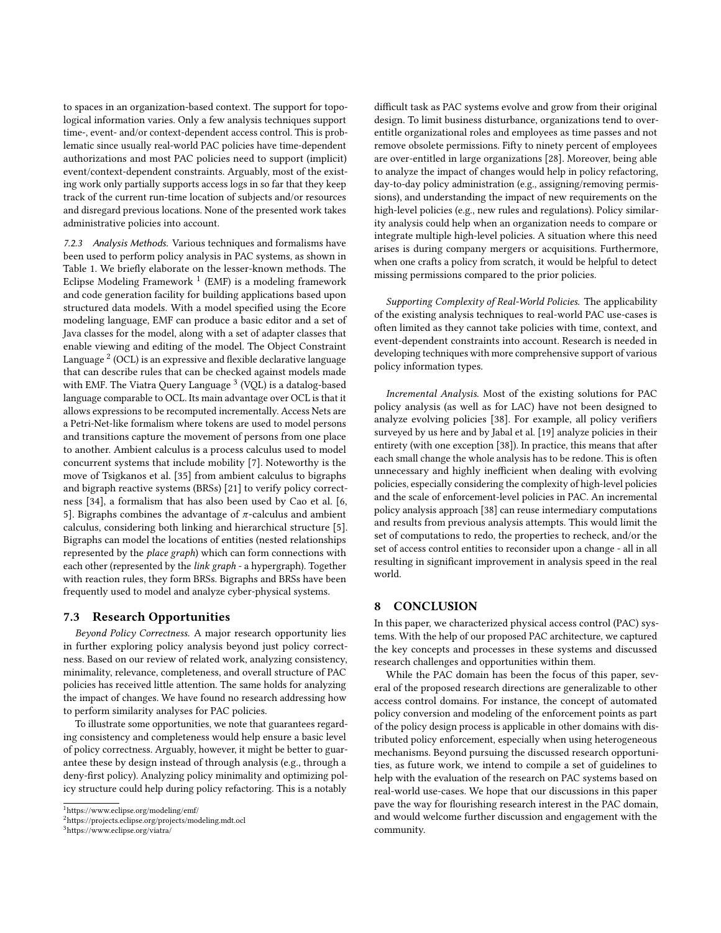to spaces in an organization-based context. The support for topological information varies. Only a few analysis techniques support time-, event- and/or context-dependent access control. This is problematic since usually real-world PAC policies have time-dependent authorizations and most PAC policies need to support (implicit) event/context-dependent constraints. Arguably, most of the existing work only partially supports access logs in so far that they keep track of the current run-time location of subjects and/or resources and disregard previous locations. None of the presented work takes administrative policies into account.

7.2.3 Analysis Methods. Various techniques and formalisms have been used to perform policy analysis in PAC systems, as shown in Table [1.](#page-7-0) We briefly elaborate on the lesser-known methods. The Eclipse Modeling Framework  $<sup>1</sup>$  $<sup>1</sup>$  $<sup>1</sup>$  (EMF) is a modeling framework</sup> and code generation facility for building applications based upon structured data models. With a model specified using the Ecore modeling language, EMF can produce a basic editor and a set of Java classes for the model, along with a set of adapter classes that enable viewing and editing of the model. The Object Constraint Language  $^2$  $^2$  (OCL) is an expressive and flexible declarative language that can describe rules that can be checked against models made with EMF. The Viatra Query Language <sup>[3](#page-8-2)</sup> (VOL) is a datalog-based language comparable to OCL. Its main advantage over OCL is that it allows expressions to be recomputed incrementally. Access Nets are a Petri-Net-like formalism where tokens are used to model persons and transitions capture the movement of persons from one place to another. Ambient calculus is a process calculus used to model concurrent systems that include mobility [\[7\]](#page-9-36). Noteworthy is the move of Tsigkanos et al. [\[35\]](#page-9-30) from ambient calculus to bigraphs and bigraph reactive systems (BRSs) [\[21\]](#page-9-37) to verify policy correctness [\[34\]](#page-9-29), a formalism that has also been used by Cao et al. [\[6,](#page-9-24) [5\]](#page-9-26). Bigraphs combines the advantage of  $\pi$ -calculus and ambient calculus, considering both linking and hierarchical structure [\[5\]](#page-9-26). Bigraphs can model the locations of entities (nested relationships represented by the place graph) which can form connections with each other (represented by the link graph - a hypergraph). Together with reaction rules, they form BRSs. Bigraphs and BRSs have been frequently used to model and analyze cyber-physical systems.

#### 7.3 Research Opportunities

Beyond Policy Correctness. A major research opportunity lies in further exploring policy analysis beyond just policy correctness. Based on our review of related work, analyzing consistency, minimality, relevance, completeness, and overall structure of PAC policies has received little attention. The same holds for analyzing the impact of changes. We have found no research addressing how to perform similarity analyses for PAC policies.

To illustrate some opportunities, we note that guarantees regarding consistency and completeness would help ensure a basic level of policy correctness. Arguably, however, it might be better to guarantee these by design instead of through analysis (e.g., through a deny-first policy). Analyzing policy minimality and optimizing policy structure could help during policy refactoring. This is a notably

difficult task as PAC systems evolve and grow from their original design. To limit business disturbance, organizations tend to overentitle organizational roles and employees as time passes and not remove obsolete permissions. Fifty to ninety percent of employees are over-entitled in large organizations [\[28\]](#page-9-38). Moreover, being able to analyze the impact of changes would help in policy refactoring, day-to-day policy administration (e.g., assigning/removing permissions), and understanding the impact of new requirements on the high-level policies (e.g., new rules and regulations). Policy similarity analysis could help when an organization needs to compare or integrate multiple high-level policies. A situation where this need arises is during company mergers or acquisitions. Furthermore, when one crafts a policy from scratch, it would be helpful to detect missing permissions compared to the prior policies.

Supporting Complexity of Real-World Policies. The applicability of the existing analysis techniques to real-world PAC use-cases is often limited as they cannot take policies with time, context, and event-dependent constraints into account. Research is needed in developing techniques with more comprehensive support of various policy information types.

Incremental Analysis. Most of the existing solutions for PAC policy analysis (as well as for LAC) have not been designed to analyze evolving policies [\[38\]](#page-9-25). For example, all policy verifiers surveyed by us here and by Jabal et al. [\[19\]](#page-9-21) analyze policies in their entirety (with one exception [\[38\]](#page-9-25)). In practice, this means that after each small change the whole analysis has to be redone. This is often unnecessary and highly inefficient when dealing with evolving policies, especially considering the complexity of high-level policies and the scale of enforcement-level policies in PAC. An incremental policy analysis approach [\[38\]](#page-9-25) can reuse intermediary computations and results from previous analysis attempts. This would limit the set of computations to redo, the properties to recheck, and/or the set of access control entities to reconsider upon a change - all in all resulting in significant improvement in analysis speed in the real world.

#### 8 CONCLUSION

In this paper, we characterized physical access control (PAC) systems. With the help of our proposed PAC architecture, we captured the key concepts and processes in these systems and discussed research challenges and opportunities within them.

While the PAC domain has been the focus of this paper, several of the proposed research directions are generalizable to other access control domains. For instance, the concept of automated policy conversion and modeling of the enforcement points as part of the policy design process is applicable in other domains with distributed policy enforcement, especially when using heterogeneous mechanisms. Beyond pursuing the discussed research opportunities, as future work, we intend to compile a set of guidelines to help with the evaluation of the research on PAC systems based on real-world use-cases. We hope that our discussions in this paper pave the way for flourishing research interest in the PAC domain, and would welcome further discussion and engagement with the community.

<span id="page-8-0"></span><sup>1</sup>https://www.eclipse.org/modeling/emf/

<span id="page-8-1"></span><sup>2</sup>https://projects.eclipse.org/projects/modeling.mdt.ocl

<span id="page-8-2"></span><sup>3</sup>https://www.eclipse.org/viatra/